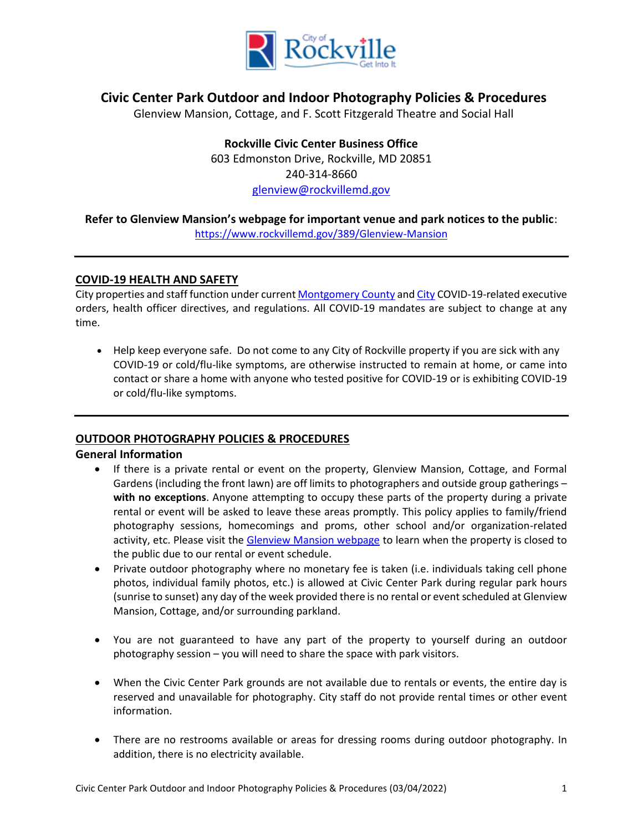

# **Civic Center Park Outdoor and Indoor Photography Policies & Procedures**

Glenview Mansion, Cottage, and F. Scott Fitzgerald Theatre and Social Hall

**Rockville Civic Center Business Office** 603 Edmonston Drive, Rockville, MD 20851 240-314-8660 [glenview@rockvillemd.gov](mailto:glenview@rockvillemd.gov)

# **Refer to Glenview Mansion's webpage for important venue and park notices to the public**:

<https://www.rockvillemd.gov/389/Glenview-Mansion>

# **COVID-19 HEALTH AND SAFETY**

City properties and staff function under curren[t Montgomery County](https://www.montgomerycountymd.gov/covid19/index.html) and [City](https://www.rockvillemd.gov/2315/COVID-19-Closures-and-Cancellations) COVID-19-related executive orders, health officer directives, and regulations. All COVID-19 mandates are subject to change at any time.

• Help keep everyone safe. Do not come to any City of Rockville property if you are sick with any COVID-19 or cold/flu-like symptoms, are otherwise instructed to remain at home, or came into contact or share a home with anyone who tested positive for COVID-19 or is exhibiting COVID-19 or cold/flu-like symptoms.

# **OUTDOOR PHOTOGRAPHY POLICIES & PROCEDURES**

## **General Information**

- If there is a private rental or event on the property, Glenview Mansion, Cottage, and Formal Gardens (including the front lawn) are off limits to photographers and outside group gatherings – **with no exceptions**. Anyone attempting to occupy these parts of the property during a private rental or event will be asked to leave these areas promptly. This policy applies to family/friend photography sessions, homecomings and proms, other school and/or organization-related activity, etc. Please visit the [Glenview Mansion webpage](http://www.rockvillemd.gov/glenview) to learn when the property is closed to the public due to our rental or event schedule.
- Private outdoor photography where no monetary fee is taken (i.e. individuals taking cell phone photos, individual family photos, etc.) is allowed at Civic Center Park during regular park hours (sunrise to sunset) any day of the week provided there is no rental or event scheduled at Glenview Mansion, Cottage, and/or surrounding parkland.
- You are not guaranteed to have any part of the property to yourself during an outdoor photography session – you will need to share the space with park visitors.
- When the Civic Center Park grounds are not available due to rentals or events, the entire day is reserved and unavailable for photography. City staff do not provide rental times or other event information.
- There are no restrooms available or areas for dressing rooms during outdoor photography. In addition, there is no electricity available.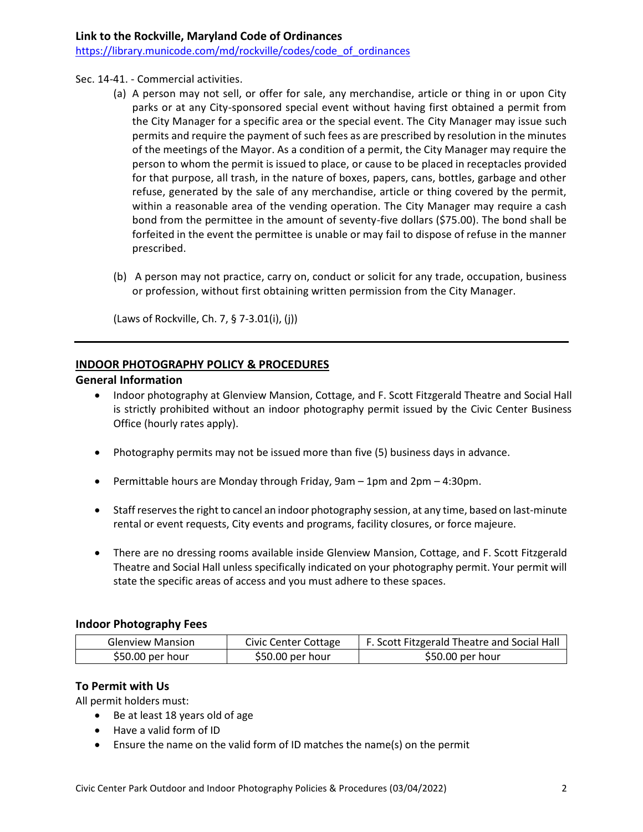## Sec. 14-41. - Commercial activities.

- (a) A person may not sell, or offer for sale, any merchandise, article or thing in or upon City parks or at any City-sponsored special event without having first obtained a permit from the City Manager for a specific area or the special event. The City Manager may issue such permits and require the payment of such fees as are prescribed by resolution in the minutes of the meetings of the Mayor. As a condition of a permit, the City Manager may require the person to whom the permit is issued to place, or cause to be placed in receptacles provided for that purpose, all trash, in the nature of boxes, papers, cans, bottles, garbage and other refuse, generated by the sale of any merchandise, article or thing covered by the permit, within a reasonable area of the vending operation. The City Manager may require a cash bond from the permittee in the amount of seventy-five dollars (\$75.00). The bond shall be forfeited in the event the permittee is unable or may fail to dispose of refuse in the manner prescribed.
- (b) A person may not practice, carry on, conduct or solicit for any trade, occupation, business or profession, without first obtaining written permission from the City Manager.

(Laws of Rockville, Ch. 7, § 7-3.01(i), (j))

## **INDOOR PHOTOGRAPHY POLICY & PROCEDURES**

## **General Information**

- Indoor photography at Glenview Mansion, Cottage, and F. Scott Fitzgerald Theatre and Social Hall is strictly prohibited without an indoor photography permit issued by the Civic Center Business Office (hourly rates apply).
- Photography permits may not be issued more than five (5) business days in advance.
- Permittable hours are Monday through Friday, 9am 1pm and 2pm 4:30pm.
- Staff reserves the right to cancel an indoor photography session, at any time, based on last-minute rental or event requests, City events and programs, facility closures, or force majeure.
- There are no dressing rooms available inside Glenview Mansion, Cottage, and F. Scott Fitzgerald Theatre and Social Hall unless specifically indicated on your photography permit. Your permit will state the specific areas of access and you must adhere to these spaces.

## **Indoor Photography Fees**

| <b>Glenview Mansion</b> | Civic Center Cottage | F. Scott Fitzgerald Theatre and Social Hall |
|-------------------------|----------------------|---------------------------------------------|
| $$50.00$ per hour       | $$50.00$ per hour    | \$50.00 per hour                            |

## **To Permit with Us**

All permit holders must:

- Be at least 18 years old of age
- Have a valid form of ID
- Ensure the name on the valid form of ID matches the name(s) on the permit